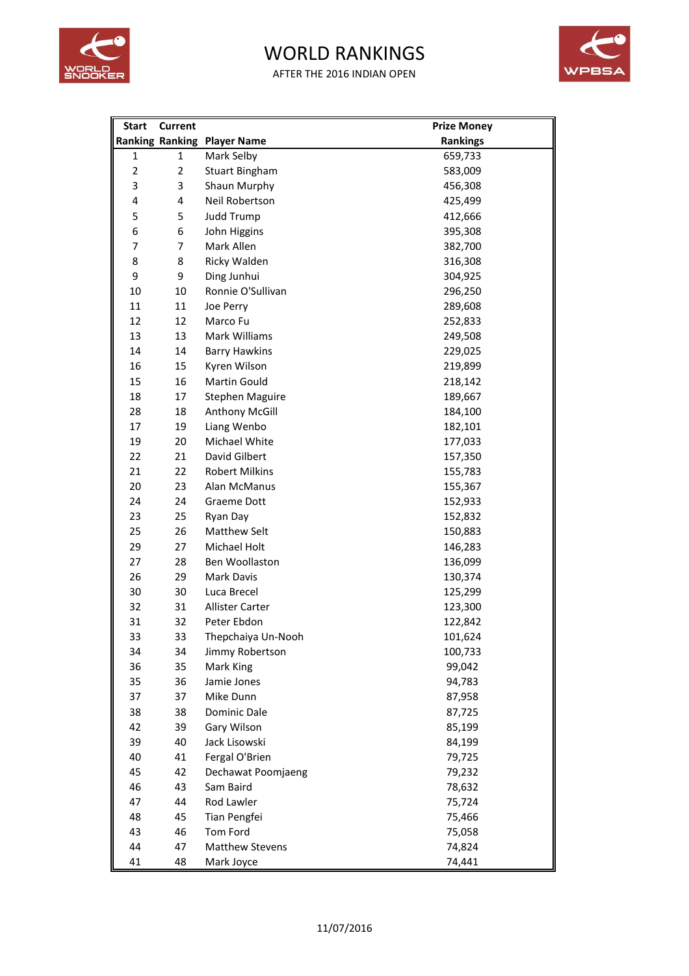

## WORLD RANKINGS

AFTER THE 2016 INDIAN OPEN



| <b>Start</b>   | <b>Current</b> |                                    | <b>Prize Money</b> |
|----------------|----------------|------------------------------------|--------------------|
|                |                | <b>Ranking Ranking Player Name</b> | <b>Rankings</b>    |
| 1              | $\mathbf{1}$   | Mark Selby                         | 659,733            |
| $\overline{2}$ | $\overline{2}$ | <b>Stuart Bingham</b>              | 583,009            |
| 3              | 3              | Shaun Murphy                       | 456,308            |
| 4              | 4              | Neil Robertson                     | 425,499            |
| 5              | 5              | <b>Judd Trump</b>                  | 412,666            |
| 6              | 6              | John Higgins                       | 395,308            |
| $\overline{7}$ | $\overline{7}$ | Mark Allen                         | 382,700            |
| 8              | 8              | Ricky Walden                       | 316,308            |
| 9              | 9              | Ding Junhui                        | 304,925            |
| 10             | 10             | Ronnie O'Sullivan                  | 296,250            |
| 11             | 11             | Joe Perry                          | 289,608            |
| 12             | 12             | Marco Fu                           | 252,833            |
| 13             | 13             | Mark Williams                      | 249,508            |
| 14             | 14             | <b>Barry Hawkins</b>               | 229,025            |
| 16             | 15             | Kyren Wilson                       | 219,899            |
| 15             | 16             | Martin Gould                       | 218,142            |
| 18             | 17             | <b>Stephen Maguire</b>             | 189,667            |
| 28             | 18             | Anthony McGill                     | 184,100            |
| 17             | 19             | Liang Wenbo                        | 182,101            |
| 19             | 20             | Michael White                      | 177,033            |
| 22             | 21             | David Gilbert                      | 157,350            |
| 21             | 22             | <b>Robert Milkins</b>              | 155,783            |
| 20             | 23             | Alan McManus                       | 155,367            |
| 24             | 24             | <b>Graeme Dott</b>                 | 152,933            |
| 23             | 25             | Ryan Day                           | 152,832            |
| 25             | 26             | <b>Matthew Selt</b>                | 150,883            |
| 29             | 27             | Michael Holt                       | 146,283            |
| 27             | 28             | Ben Woollaston                     | 136,099            |
| 26             | 29             | <b>Mark Davis</b>                  | 130,374            |
| 30             | 30             | Luca Brecel                        | 125,299            |
| 32             | 31             | Allister Carter                    | 123,300            |
| 31             | 32             | Peter Ebdon                        | 122,842            |
| 33             | 33             | Thepchaiya Un-Nooh                 | 101,624            |
| 34             | 34             | Jimmy Robertson                    | 100,733            |
| 36             | 35             | Mark King                          | 99,042             |
| 35             | 36             | Jamie Jones                        | 94,783             |
| 37             | 37             | Mike Dunn                          | 87,958             |
| 38             | 38             | Dominic Dale                       | 87,725             |
| 42             | 39             | Gary Wilson                        | 85,199             |
| 39             | 40             | Jack Lisowski                      | 84,199             |
| 40             | 41             | Fergal O'Brien                     | 79,725             |
| 45             | 42             | Dechawat Poomjaeng                 | 79,232             |
| 46             | 43             | Sam Baird                          | 78,632             |
| 47             | 44             | Rod Lawler                         | 75,724             |
| 48             | 45             | Tian Pengfei                       | 75,466             |
| 43             | 46             | <b>Tom Ford</b>                    | 75,058             |
| 44             | 47             | <b>Matthew Stevens</b>             | 74,824             |
| 41             | 48             | Mark Joyce                         | 74,441             |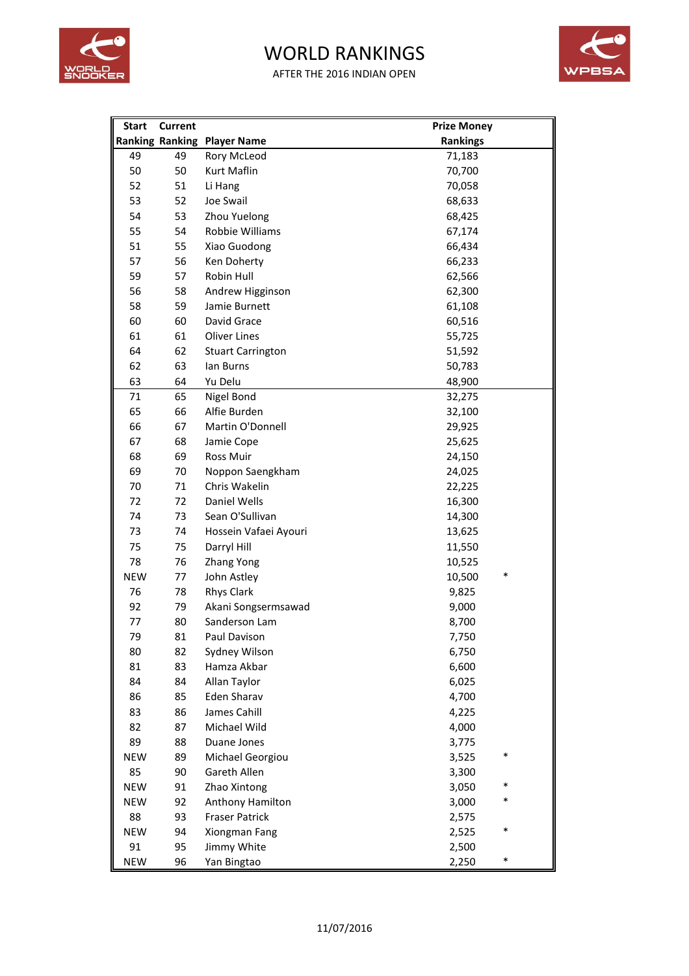

## WORLD RANKINGS

AFTER THE 2016 INDIAN OPEN



| <b>Start</b> | <b>Current</b> |                                    | <b>Prize Money</b> |
|--------------|----------------|------------------------------------|--------------------|
|              |                | <b>Ranking Ranking Player Name</b> | <b>Rankings</b>    |
| 49           | 49             | Rory McLeod                        | 71,183             |
| 50           | 50             | Kurt Maflin                        | 70,700             |
| 52           | 51             | Li Hang                            | 70,058             |
| 53           | 52             | Joe Swail                          | 68,633             |
| 54           | 53             | Zhou Yuelong                       | 68,425             |
| 55           | 54             | Robbie Williams                    | 67,174             |
| 51           | 55             | Xiao Guodong                       | 66,434             |
| 57           | 56             | Ken Doherty                        | 66,233             |
| 59           | 57             | Robin Hull                         | 62,566             |
| 56           | 58             | Andrew Higginson                   | 62,300             |
| 58           | 59             | Jamie Burnett                      | 61,108             |
| 60           | 60             | David Grace                        | 60,516             |
| 61           | 61             | <b>Oliver Lines</b>                | 55,725             |
| 64           | 62             | <b>Stuart Carrington</b>           | 51,592             |
| 62           | 63             | lan Burns                          | 50,783             |
| 63           | 64             | Yu Delu                            | 48,900             |
| 71           | 65             | Nigel Bond                         | 32,275             |
| 65           | 66             | Alfie Burden                       | 32,100             |
| 66           | 67             | Martin O'Donnell                   | 29,925             |
| 67           | 68             | Jamie Cope                         | 25,625             |
| 68           | 69             | Ross Muir                          | 24,150             |
| 69           | 70             | Noppon Saengkham                   | 24,025             |
| 70           | 71             | Chris Wakelin                      | 22,225             |
| 72           | 72             | Daniel Wells                       | 16,300             |
| 74           | 73             | Sean O'Sullivan                    | 14,300             |
| 73           | 74             | Hossein Vafaei Ayouri              | 13,625             |
| 75           | 75             | Darryl Hill                        | 11,550             |
| 78           | 76             | <b>Zhang Yong</b>                  | 10,525             |
| <b>NEW</b>   | 77             | John Astley                        | *<br>10,500        |
| 76           | 78             | <b>Rhys Clark</b>                  | 9,825              |
| 92           | 79             | Akani Songsermsawad                | 9,000              |
| 77           | 80             | Sanderson Lam                      | 8,700              |
| 79           | 81             | Paul Davison                       | 7,750              |
| 80           | 82             | Sydney Wilson                      | 6,750              |
| 81           | 83             | Hamza Akbar                        | 6,600              |
| 84           | 84             | Allan Taylor                       | 6,025              |
| 86           | 85             | <b>Eden Sharav</b>                 | 4,700              |
| 83           | 86             | James Cahill                       | 4,225              |
| 82           | 87             | Michael Wild                       | 4,000              |
| 89           | 88             | Duane Jones                        | 3,775              |
| <b>NEW</b>   | 89             | Michael Georgiou                   | *<br>3,525         |
| 85           | 90             | Gareth Allen                       | 3,300              |
| <b>NEW</b>   | 91             | Zhao Xintong                       | *<br>3,050         |
| <b>NEW</b>   | 92             | Anthony Hamilton                   | *<br>3,000         |
| 88           | 93             | <b>Fraser Patrick</b>              | 2,575              |
| <b>NEW</b>   | 94             | Xiongman Fang                      | ∗<br>2,525         |
| 91           | 95             | Jimmy White                        | 2,500              |
| <b>NEW</b>   | 96             | Yan Bingtao                        | ∗<br>2,250         |